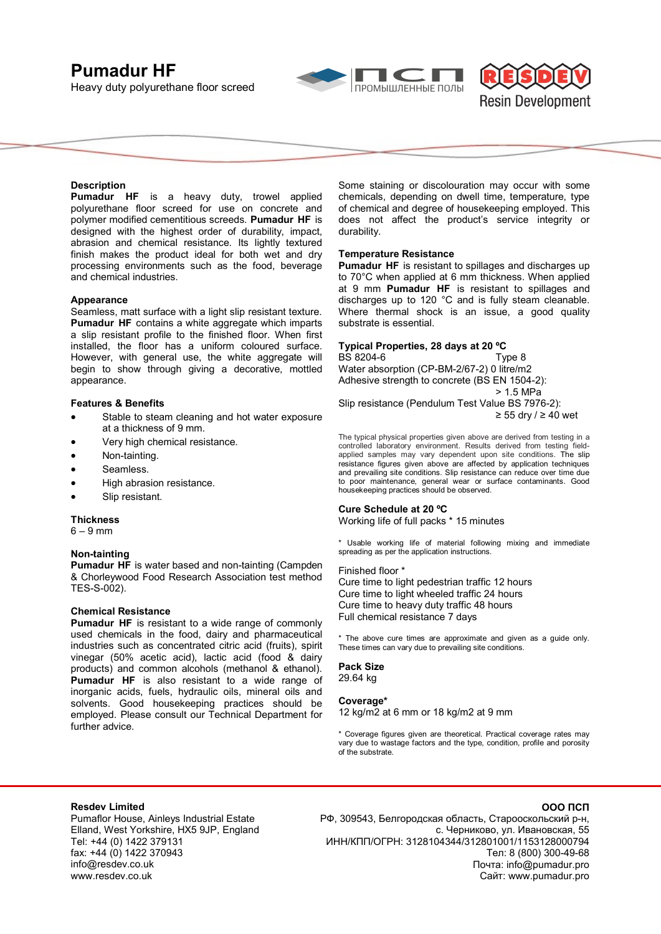# **Pumadur HF**

Heavy duty polyurethane floor screed





# **Description**

**Pumadur HF** is a heavy duty, trowel applied polyurethane floor screed for use on concrete and polymer modified cementitious screeds. **Pumadur HF** is designed with the highest order of durability, impact, abrasion and chemical resistance. Its lightly textured finish makes the product ideal for both wet and dry processing environments such as the food, beverage and chemical industries.

### **Appearance**

Seamless, matt surface with a light slip resistant texture. **Pumadur HF** contains a white aggregate which imparts a slip resistant profile to the finished floor. When first installed, the floor has a uniform coloured surface. However, with general use, the white aggregate will begin to show through giving a decorative, mottled appearance.

### **Features & Benefits**

- Stable to steam cleaning and hot water exposure at a thickness of 9 mm.
- Very high chemical resistance.
- Non-tainting.
- Seamless.
- High abrasion resistance.
- Slip resistant.

### **Thickness**

 $6 - 9$  mm

# **Non-tainting**

**Pumadur HF** is water based and non-tainting (Campden & Chorleywood Food Research Association test method TES-S-002).

### **Chemical Resistance**

**Pumadur HF** is resistant to a wide range of commonly used chemicals in the food, dairy and pharmaceutical industries such as concentrated citric acid (fruits), spirit vinegar (50% acetic acid), lactic acid (food & dairy products) and common alcohols (methanol & ethanol). **Pumadur HF** is also resistant to a wide range of inorganic acids, fuels, hydraulic oils, mineral oils and solvents. Good housekeeping practices should be employed. Please consult our Technical Department for further advice.

Some staining or discolouration may occur with some chemicals, depending on dwell time, temperature, type of chemical and degree of housekeeping employed. This does not affect the product's service integrity or durability.

### **Temperature Resistance**

**Pumadur HF** is resistant to spillages and discharges up to 70°C when applied at 6 mm thickness. When applied at 9 mm **Pumadur HF** is resistant to spillages and discharges up to 120 °C and is fully steam cleanable. Where thermal shock is an issue, a good quality substrate is essential.

# **Typical Properties, 28 days at 20 ºC**

BS 8204-6 Type 8 Water absorption (CP-BM-2/67-2) 0 litre/m2 Adhesive strength to concrete (BS EN 1504-2): > 1.5 MPa

Slip resistance (Pendulum Test Value BS 7976-2): ≥ 55 dry / ≥ 40 wet

The typical physical properties given above are derived from testing in a controlled laboratory environment. Results derived from testing fieldapplied samples may vary dependent upon site conditions. The slip resistance figures given above are affected by application techniques and prevailing site conditions. Slip resistance can reduce over time due to poor maintenance, general wear or surface contaminants. Good housekeeping practices should be observed.

#### **Cure Schedule at 20 ºC**

Working life of full packs \* 15 minutes

Usable working life of material following mixing and immediate spreading as per the application instructions.

# Finished floor \* Cure time to light pedestrian traffic 12 hours Cure time to light wheeled traffic 24 hours Cure time to heavy duty traffic 48 hours Full chemical resistance 7 days

\* The above cure times are approximate and given as a guide only. These times can vary due to prevailing site conditions.

**Pack Size**  29.64 kg

# **Coverage\***

12 kg/m2 at 6 mm or 18 kg/m2 at 9 mm

\* Coverage figures given are theoretical. Practical coverage rates may vary due to wastage factors and the type, condition, profile and porosity of the substrate.

# **Resdev Limited**

Pumaflor House, Ainleys Industrial Estate Elland, West Yorkshire, HX5 9JP, England Tel: +44 (0) 1422 379131 fax: +44 (0) 1422 370943 info@resdev.co.uk www.resdev.co.uk

# **ООО ПСП**

РФ, 309543, Белгородская область, Старооскольский р-н, с. Черниково, ул. Ивановская, 55 ИНН/КПП/ОГРН: 3128104344/312801001/1153128000794 Тел: 8 (800) 300-49-68 Почта: info@pumadur.pro Сайт: www.pumadur.pro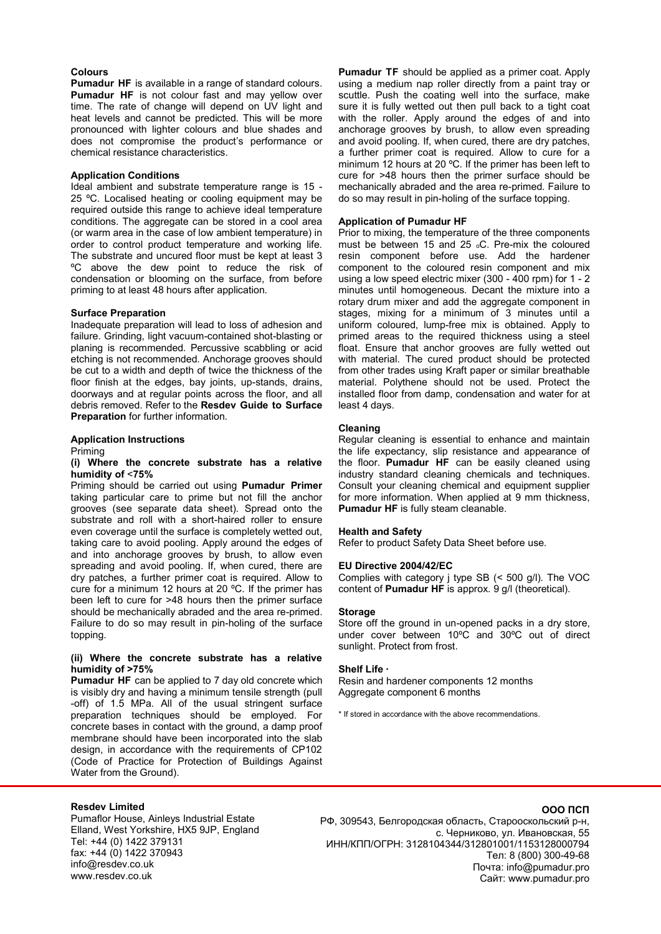## **Colours**

**Pumadur HF** is available in a range of standard colours. **Pumadur HF** is not colour fast and may yellow over time. The rate of change will depend on UV light and heat levels and cannot be predicted. This will be more pronounced with lighter colours and blue shades and does not compromise the product's performance or chemical resistance characteristics.

# **Application Conditions**

Ideal ambient and substrate temperature range is 15 - 25 °C. Localised heating or cooling equipment may be required outside this range to achieve ideal temperature conditions. The aggregate can be stored in a cool area (or warm area in the case of low ambient temperature) in order to control product temperature and working life. The substrate and uncured floor must be kept at least 3 ºC above the dew point to reduce the risk of condensation or blooming on the surface, from before priming to at least 48 hours after application.

### **Surface Preparation**

Inadequate preparation will lead to loss of adhesion and failure. Grinding, light vacuum-contained shot-blasting or planing is recommended. Percussive scabbling or acid etching is not recommended. Anchorage grooves should be cut to a width and depth of twice the thickness of the floor finish at the edges, bay joints, up-stands, drains, doorways and at regular points across the floor, and all debris removed. Refer to the **Resdev Guide to Surface Preparation** for further information.

### **Application Instructions**

Priming

### **(i) Where the concrete substrate has a relative humidity of** <**75%**

Priming should be carried out using **Pumadur Primer** taking particular care to prime but not fill the anchor grooves (see separate data sheet). Spread onto the substrate and roll with a short-haired roller to ensure even coverage until the surface is completely wetted out, taking care to avoid pooling. Apply around the edges of and into anchorage grooves by brush, to allow even spreading and avoid pooling. If, when cured, there are dry patches, a further primer coat is required. Allow to cure for a minimum 12 hours at 20 ºC. If the primer has been left to cure for >48 hours then the primer surface should be mechanically abraded and the area re-primed. Failure to do so may result in pin-holing of the surface topping.

# **(ii) Where the concrete substrate has a relative humidity of >75%**

**Pumadur HF** can be applied to 7 day old concrete which is visibly dry and having a minimum tensile strength (pull -off) of 1.5 MPa. All of the usual stringent surface preparation techniques should be employed. For concrete bases in contact with the ground, a damp proof membrane should have been incorporated into the slab design, in accordance with the requirements of CP102 (Code of Practice for Protection of Buildings Against Water from the Ground).

**Pumadur TF** should be applied as a primer coat. Apply using a medium nap roller directly from a paint tray or scuttle. Push the coating well into the surface, make sure it is fully wetted out then pull back to a tight coat with the roller. Apply around the edges of and into anchorage grooves by brush, to allow even spreading and avoid pooling. If, when cured, there are dry patches, a further primer coat is required. Allow to cure for a minimum 12 hours at 20 ºC. If the primer has been left to cure for >48 hours then the primer surface should be mechanically abraded and the area re-primed. Failure to do so may result in pin-holing of the surface topping.

### **Application of Pumadur HF**

Prior to mixing, the temperature of the three components must be between 15 and 25 oC. Pre-mix the coloured resin component before use. Add the hardener component to the coloured resin component and mix using a low speed electric mixer (300 - 400 rpm) for 1 - 2 minutes until homogeneous. Decant the mixture into a rotary drum mixer and add the aggregate component in stages, mixing for a minimum of 3 minutes until a uniform coloured, lump-free mix is obtained. Apply to primed areas to the required thickness using a steel float. Ensure that anchor grooves are fully wetted out with material. The cured product should be protected from other trades using Kraft paper or similar breathable material. Polythene should not be used. Protect the installed floor from damp, condensation and water for at least 4 days.

# **Cleaning**

Regular cleaning is essential to enhance and maintain the life expectancy, slip resistance and appearance of the floor. **Pumadur HF** can be easily cleaned using industry standard cleaning chemicals and techniques. Consult your cleaning chemical and equipment supplier for more information. When applied at 9 mm thickness, **Pumadur HF** is fully steam cleanable.

### **Health and Safety**

Refer to product Safety Data Sheet before use.

# **EU Directive 2004/42/EC**

Complies with category j type SB (< 500 g/l). The VOC content of **Pumadur HF** is approx. 9 g/l (theoretical).

### **Storage**

Store off the ground in un-opened packs in a dry store, under cover between 10ºC and 30ºC out of direct sunlight. Protect from frost.

### **Shelf Life \***

Resin and hardener components 12 months Aggregate component 6 months

\* If stored in accordance with the above recommendations.

# **Resdev Limited**

Pumaflor House, Ainleys Industrial Estate Elland, West Yorkshire, HX5 9JP, England Tel: +44 (0) 1422 379131 fax: +44 (0) 1422 370943 info@resdev.co.uk www.resdev.co.uk

# РФ, 309543, Белгородская область, Старооскольский р-н, с. Черниково, ул. Ивановская, 55 ИНН/КПП/ОГРН: 3128104344/312801001/1153128000794 Тел: 8 (800) 300-49-68 Почта: info@pumadur.pro Сайт: www.pumadur.pro

# **ООО ПСП**